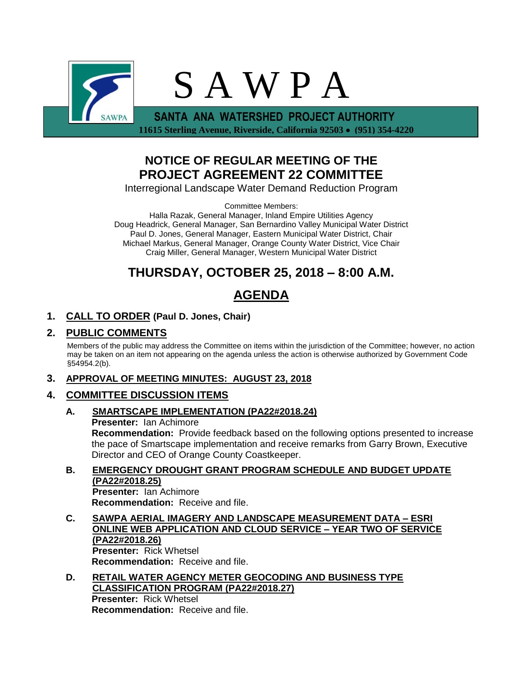

 **11615 Sterling Avenue, Riverside, California 92503 (951) 354-4220**

## **NOTICE OF REGULAR MEETING OF THE PROJECT AGREEMENT 22 COMMITTEE**

Interregional Landscape Water Demand Reduction Program

Committee Members:

Halla Razak, General Manager, Inland Empire Utilities Agency Doug Headrick, General Manager, San Bernardino Valley Municipal Water District Paul D. Jones, General Manager, Eastern Municipal Water District, Chair Michael Markus, General Manager, Orange County Water District, Vice Chair Craig Miller, General Manager, Western Municipal Water District

# **THURSDAY, OCTOBER 25, 2018 – 8:00 A.M.**

# **AGENDA**

## **1. CALL TO ORDER (Paul D. Jones, Chair)**

## **2. PUBLIC COMMENTS**

Members of the public may address the Committee on items within the jurisdiction of the Committee; however, no action may be taken on an item not appearing on the agenda unless the action is otherwise authorized by Government Code §54954.2(b).

## **3. APPROVAL OF MEETING MINUTES: AUGUST 23, 2018**

## **4. COMMITTEE DISCUSSION ITEMS**

## **A. SMARTSCAPE IMPLEMENTATION (PA22#2018.24) Presenter:** Ian Achimore

**Recommendation:** Provide feedback based on the following options presented to increase the pace of Smartscape implementation and receive remarks from Garry Brown, Executive Director and CEO of Orange County Coastkeeper.

## **B. EMERGENCY DROUGHT GRANT PROGRAM SCHEDULE AND BUDGET UPDATE (PA22#2018.25)**

**Presenter:** Ian Achimore **Recommendation:** Receive and file.

**C. SAWPA AERIAL IMAGERY AND LANDSCAPE MEASUREMENT DATA – ESRI ONLINE WEB APPLICATION AND CLOUD SERVICE – YEAR TWO OF SERVICE (PA22#2018.26) Presenter:** Rick Whetsel **Recommendation:** Receive and file.

#### **D. RETAIL WATER AGENCY METER GEOCODING AND BUSINESS TYPE CLASSIFICATION PROGRAM (PA22#2018.27) Presenter:** Rick Whetsel **Recommendation:** Receive and file.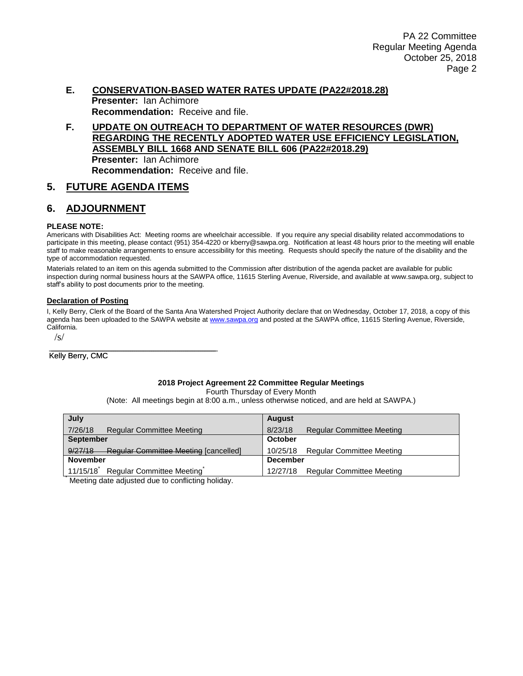### **E. CONSERVATION-BASED WATER RATES UPDATE (PA22#2018.28) Presenter:** Ian Achimore **Recommendation:** Receive and file.

#### **F. UPDATE ON OUTREACH TO DEPARTMENT OF WATER RESOURCES (DWR) REGARDING THE RECENTLY ADOPTED WATER USE EFFICIENCY LEGISLATION, ASSEMBLY BILL 1668 AND SENATE BILL 606 (PA22#2018.29) Presenter:** Ian Achimore **Recommendation:** Receive and file.

## **5. FUTURE AGENDA ITEMS**

## **6. ADJOURNMENT**

#### **PLEASE NOTE:**

Americans with Disabilities Act: Meeting rooms are wheelchair accessible. If you require any special disability related accommodations to participate in this meeting, please contact (951) 354-4220 or kberry@sawpa.org. Notification at least 48 hours prior to the meeting will enable staff to make reasonable arrangements to ensure accessibility for this meeting. Requests should specify the nature of the disability and the type of accommodation requested.

Materials related to an item on this agenda submitted to the Commission after distribution of the agenda packet are available for public inspection during normal business hours at the SAWPA office, 11615 Sterling Avenue, Riverside, and available at www.sawpa.org, subject to staff's ability to post documents prior to the meeting.

#### **Declaration of Posting**

I, Kelly Berry, Clerk of the Board of the Santa Ana Watershed Project Authority declare that on Wednesday, October 17, 2018, a copy of this agenda has been uploaded to the SAWPA website a[t www.sawpa.org](http://www.sawpa.org/) and posted at the SAWPA office, 11615 Sterling Avenue, Riverside, California.

/s/

#### \_\_\_\_\_\_\_\_\_\_\_\_\_\_\_\_\_\_\_\_\_\_\_\_\_\_\_\_\_\_\_\_\_\_\_\_\_\_\_ Kelly Berry, CMC

#### **2018 Project Agreement 22 Committee Regular Meetings**

Fourth Thursday of Every Month

(Note: All meetings begin at 8:00 a.m., unless otherwise noticed, and are held at SAWPA.)

| July                                                    | <b>August</b>                                |  |  |
|---------------------------------------------------------|----------------------------------------------|--|--|
| 7/26/18<br><b>Regular Committee Meeting</b>             | 8/23/18<br><b>Regular Committee Meeting</b>  |  |  |
| <b>September</b>                                        | October                                      |  |  |
| 9/27/18<br><b>Regular Committee Meeting [cancelled]</b> | 10/25/18 Regular Committee Meeting           |  |  |
| <b>November</b>                                         | <b>December</b>                              |  |  |
| 11/15/18<br>Regular Committee Meeting                   | <b>Regular Committee Meeting</b><br>12/27/18 |  |  |

Meeting date adjusted due to conflicting holiday.